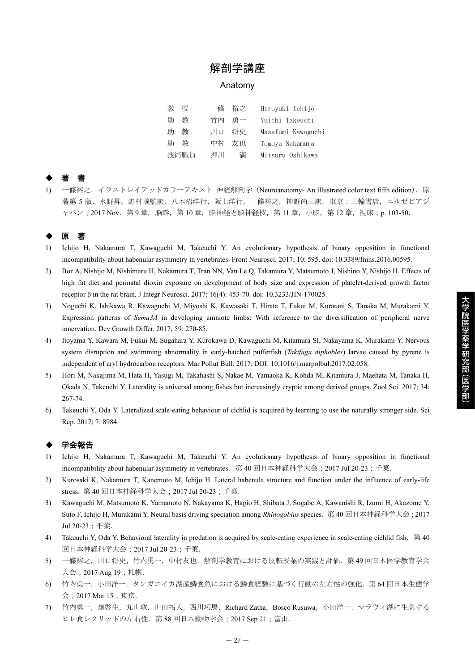## 解剖学講座

#### Anatomy

| 劷<br>桴 | 一條 裕之    | Hiroyuki Ichijo    |
|--------|----------|--------------------|
| 教<br>肍 | 竹内 勇一    | Yuichi Takeuchi    |
| 教<br>肍 | 将史<br>川口 | Masafumi Kawaguchi |
| 教<br>肍 | 中村<br>友也 | Tomoya Nakamura    |
| 技術職員   | 押川<br>満  | Mitsuru Oshikawa   |

# ◆ 著 書

1) 一條裕之.イラストレイテッドカラーテキスト 神経解剖学(Neuroanatomy- An illustrated color text fifth edition).原 著第 5 版. 水野昇, 野村嶬監訳, 八木沼洋行, 阪上洋行, 一條裕之, 神野尚三訳. 東京:三輪書店, エルゼビアジ ャパン; 2017 Nov. 第9章, 脳幹, 第10章, 脳神経と脳神経核, 第11章, 小脳, 第12章, 視床;p. 103-50.

## ◆ 原 著

- 1) Ichijo H, Nakamura T, Kawaguchi M, Takeuchi Y. An evolutionary hypothesis of binary opposition in functional incompatibility about habenular asymmetry in vertebrates. Front Neurosci. 2017; 10: 595. doi: 10.3389/fnins.2016.00595.
- 2) Bor A, Nishijo M, Nishimaru H, Nakamura T, Tran NN, Van Le Q, Takamura Y, Matsumoto J, Nishino Y, Nishijo H. Effects of high fat diet and perinatal dioxin exposure on development of body size and expression of platelet-derived growth factor receptor β in the rat brain. J Integr Neurosci. 2017; 16(4): 453-70. doi: 10.3233/JIN-170025.
- 3) Noguchi K, Ishikawa R, Kawaguchi M, Miyoshi K, Kawasaki T, Hirata T, Fukui M, Kuratani S, Tanaka M, Murakami Y. Expression patterns of *Sema3A* in developing amniote limbs: With reference to the diversification of peripheral nerve innervation. Dev Growth Differ. 2017; 59: 270-85.
- 4) Itoyama Y, Kawara M, Fukui M, Sugahara Y, Kurokawa D, Kawaguchi M, Kitamura SI, Nakayama K, Murakami Y. Nervous system disruption and swimming abnormality in early-hatched pufferfish (*Takifugu niphobles*) larvae caused by pyrene is independent of aryl hydrocarbon receptors. Mar Pollut Bull. 2017. DOI: 10.1016/j.marpolbul.2017.02.058.
- 5) Hori M, Nakajima M, Hata H, Yasugi M, Takahashi S, Nakae M, Yamaoka K, Kohda M, Kitamura J, Maehata M, Tanaka H, Okada N, Takeuchi Y. Laterality is universal among fishes but increasingly cryptic among derived groups. Zool Sci. 2017; 34: 267-74.
- 6) Takeuchi Y, Oda Y. Lateralized scale-eating behaviour of cichlid is acquired by learning to use the naturally stronger side. Sci Rep. 2017; 7: 8984.

### ◆ 学会報告

- 1) Ichijo H, Nakamura T, Kawaguchi M, Takeuchi Y. An evolutionary hypothesis of binary opposition in functional incompatibility about habenular asymmetry in vertebrates.第 40 回日本神経科学大会;2017 Jul 20-23;千葉.
- 2) Kurosaki K, Nakamura T, Kanemoto M, Ichijo H. Lateral habenula structure and function under the influence of early-life stress. 第 40 回日本神経科学大会;2017 Jul 20-23;千葉.
- 3) Kawaguchi M, Matsumoto K, Yamamoto N, Nakayama K, Hagio H, Shibata J, Sogabe A, Kawanishi R, Izumi H, Akazome Y, Suto F, Ichijo H, Murakami Y. Neural basis driving speciation among *Rhinogobius* species.第 40 回日本神経科学大会;2017 Jul 20-23;千葉.
- 4) Takeuchi Y, Oda Y. Behavioral laterality in predation is acquired by scale-eating experience in scale-eating cichlid fish.第 40 回日本神経科学大会;2017 Jul 20-23;千葉.
- 5) 一條裕之,川口将史,竹内勇一,中村友也.解剖学教育における反転授業の実践と評価.第 49 回日本医学教育学会 大会;2017 Aug 19;札幌.
- 6) 竹内勇一,小田洋一.タンガニイカ湖産鱗食魚における鱗食経験に基づく行動の左右性の強化.第 64 回日本生態学 会;2017 Mar 15;東京.
- 7) 竹内勇一, 畑啓生, 丸山敦, 山田拓人, 西川巧馬, Richard Zatha, Bosco Rusuwa, 小田洋一. マラウィ湖に生息する ヒレ食シクリッドの左右性. 第 88 回日本動物学会; 2017 Sep 21; 富山.